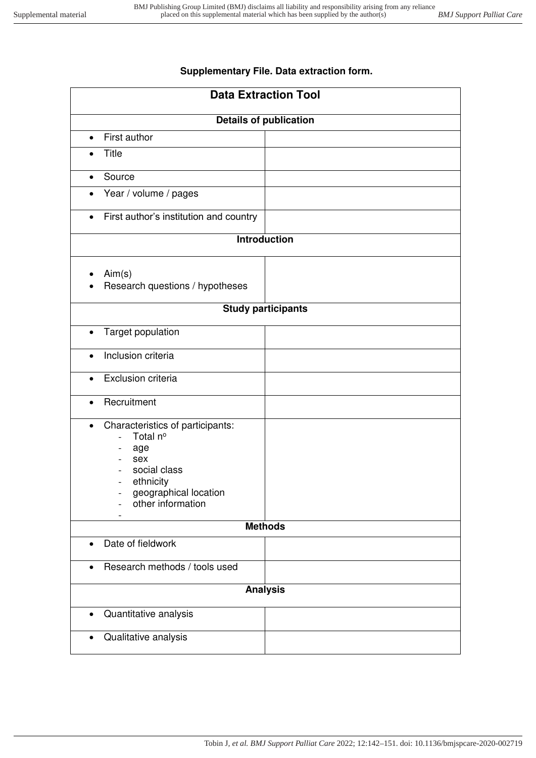## **Supplementary File. Data extraction form.**

| <b>Data Extraction Tool</b>                                                                                                                                                                                |  |
|------------------------------------------------------------------------------------------------------------------------------------------------------------------------------------------------------------|--|
| <b>Details of publication</b>                                                                                                                                                                              |  |
| First author                                                                                                                                                                                               |  |
| <b>Title</b>                                                                                                                                                                                               |  |
| Source<br>$\bullet$                                                                                                                                                                                        |  |
| Year / volume / pages<br>$\bullet$                                                                                                                                                                         |  |
| First author's institution and country<br>$\bullet$                                                                                                                                                        |  |
| <b>Introduction</b>                                                                                                                                                                                        |  |
| Aim(s)<br>Research questions / hypotheses                                                                                                                                                                  |  |
| <b>Study participants</b>                                                                                                                                                                                  |  |
| Target population<br>$\bullet$                                                                                                                                                                             |  |
| Inclusion criteria<br>$\bullet$                                                                                                                                                                            |  |
| Exclusion criteria<br>$\bullet$                                                                                                                                                                            |  |
| Recruitment<br>$\bullet$                                                                                                                                                                                   |  |
| Characteristics of participants:<br>$\bullet$<br>Total nº<br>$\overline{\phantom{a}}$<br>age<br>sex<br>social class<br>ethnicity<br>geographical location<br>$\overline{\phantom{a}}$<br>other information |  |
| <b>Methods</b>                                                                                                                                                                                             |  |
| Date of fieldwork<br>$\bullet$                                                                                                                                                                             |  |
| Research methods / tools used<br>$\bullet$                                                                                                                                                                 |  |
| <b>Analysis</b>                                                                                                                                                                                            |  |
| Quantitative analysis                                                                                                                                                                                      |  |
| Qualitative analysis<br>$\bullet$                                                                                                                                                                          |  |